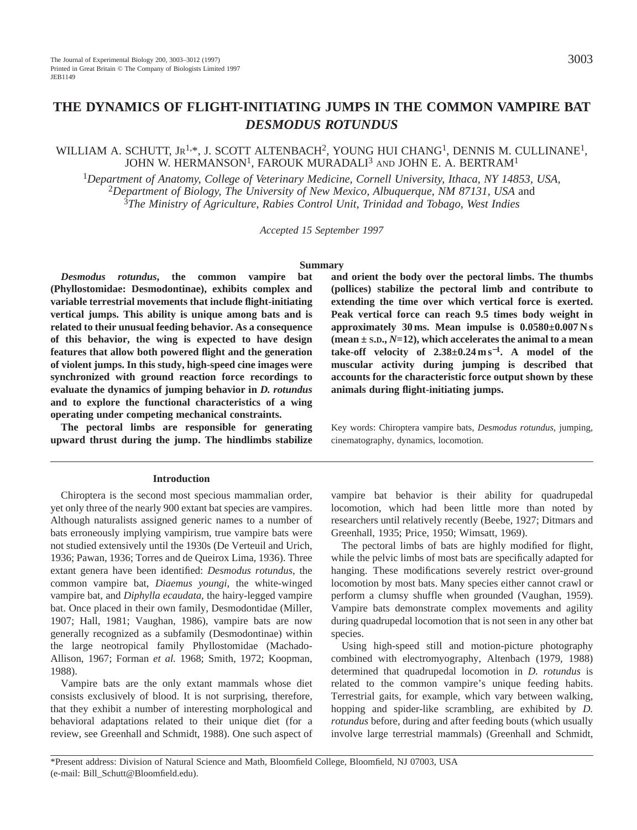# **THE DYNAMICS OF FLIGHT-INITIATING JUMPS IN THE COMMON VAMPIRE BAT** *DESMODUS ROTUNDUS*

# WILLIAM A. SCHUTT, JR<sup>1,\*</sup>, J. SCOTT ALTENBACH<sup>2</sup>, YOUNG HUI CHANG<sup>1</sup>, DENNIS M. CULLINANE<sup>1</sup>, JOHN W. HERMANSON<sup>1</sup>, FAROUK MURADALI<sup>3</sup> AND JOHN E. A. BERTRAM<sup>1</sup>

<sup>1</sup>*Department of Anatomy, College of Veterinary Medicine, Cornell University, Ithaca, NY 14853, USA,*  <sup>2</sup>*Department of Biology, The University of New Mexico, Albuquerque, NM 87131, USA* and <sup>3</sup>*The Ministry of Agriculture, Rabies Control Unit, Trinidad and Tobago, West Indies*

*Accepted 15 September 1997*

#### **Summary**

*Desmodus rotundus***, the common vampire bat (Phyllostomidae: Desmodontinae), exhibits complex and variable terrestrial movements that include flight-initiating vertical jumps. This ability is unique among bats and is related to their unusual feeding behavior. As a consequence of this behavior, the wing is expected to have design features that allow both powered flight and the generation of violent jumps. In this study, high-speed cine images were synchronized with ground reaction force recordings to evaluate the dynamics of jumping behavior in** *D. rotundus* **and to explore the functional characteristics of a wing operating under competing mechanical constraints.**

**The pectoral limbs are responsible for generating upward thrust during the jump. The hindlimbs stabilize**

#### **Introduction**

Chiroptera is the second most specious mammalian order, yet only three of the nearly 900 extant bat species are vampires. Although naturalists assigned generic names to a number of bats erroneously implying vampirism, true vampire bats were not studied extensively until the 1930s (De Verteuil and Urich, 1936; Pawan, 1936; Torres and de Queirox Lima, 1936). Three extant genera have been identified: *Desmodus rotundus*, the common vampire bat, *Diaemus youngi*, the white-winged vampire bat, and *Diphylla ecaudata*, the hairy-legged vampire bat. Once placed in their own family, Desmodontidae (Miller, 1907; Hall, 1981; Vaughan, 1986), vampire bats are now generally recognized as a subfamily (Desmodontinae) within the large neotropical family Phyllostomidae (Machado-Allison, 1967; Forman *et al.* 1968; Smith, 1972; Koopman, 1988).

Vampire bats are the only extant mammals whose diet consists exclusively of blood. It is not surprising, therefore, that they exhibit a number of interesting morphological and behavioral adaptations related to their unique diet (for a review, see Greenhall and Schmidt, 1988). One such aspect of **and orient the body over the pectoral limbs. The thumbs (pollices) stabilize the pectoral limb and contribute to extending the time over which vertical force is exerted. Peak vertical force can reach 9.5 times body weight in approximately 30 ms. Mean impulse is 0.0580±0.007 N s (mean ± S.D.,** *N***=12), which accelerates the animal to a mean take-off velocity of 2.38±0.24 m s**<sup>−</sup>**1. A model of the muscular activity during jumping is described that accounts for the characteristic force output shown by these animals during flight-initiating jumps.**

Key words: Chiroptera vampire bats, *Desmodus rotundus*, jumping, cinematography, dynamics, locomotion.

vampire bat behavior is their ability for quadrupedal locomotion, which had been little more than noted by researchers until relatively recently (Beebe, 1927; Ditmars and Greenhall, 1935; Price, 1950; Wimsatt, 1969).

The pectoral limbs of bats are highly modified for flight, while the pelvic limbs of most bats are specifically adapted for hanging. These modifications severely restrict over-ground locomotion by most bats. Many species either cannot crawl or perform a clumsy shuffle when grounded (Vaughan, 1959). Vampire bats demonstrate complex movements and agility during quadrupedal locomotion that is not seen in any other bat species.

Using high-speed still and motion-picture photography combined with electromyography, Altenbach (1979, 1988) determined that quadrupedal locomotion in *D. rotundus* is related to the common vampire's unique feeding habits. Terrestrial gaits, for example, which vary between walking, hopping and spider-like scrambling, are exhibited by *D. rotundus* before, during and after feeding bouts (which usually involve large terrestrial mammals) (Greenhall and Schmidt,

\*Present address: Division of Natural Science and Math, Bloomfield College, Bloomfield, NJ 07003, USA (e-mail: Bill\_Schutt@Bloomfield.edu).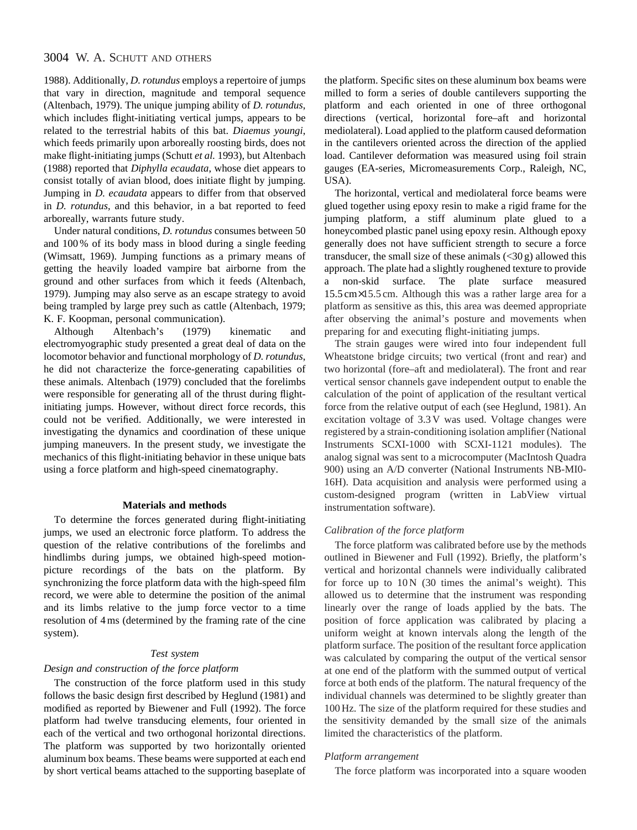# 3004 W. A. SCHUTT AND OTHERS

1988). Additionally, *D. rotundus* employs a repertoire of jumps that vary in direction, magnitude and temporal sequence (Altenbach, 1979). The unique jumping ability of *D. rotundus*, which includes flight-initiating vertical jumps, appears to be related to the terrestrial habits of this bat. *Diaemus youngi*, which feeds primarily upon arboreally roosting birds, does not make flight-initiating jumps (Schutt *et al.* 1993), but Altenbach (1988) reported that *Diphylla ecaudata*, whose diet appears to consist totally of avian blood, does initiate flight by jumping. Jumping in *D. ecaudata* appears to differ from that observed in *D. rotundus*, and this behavior, in a bat reported to feed arboreally, warrants future study.

Under natural conditions, *D. rotundus* consumes between 50 and 100 % of its body mass in blood during a single feeding (Wimsatt, 1969). Jumping functions as a primary means of getting the heavily loaded vampire bat airborne from the ground and other surfaces from which it feeds (Altenbach, 1979). Jumping may also serve as an escape strategy to avoid being trampled by large prey such as cattle (Altenbach, 1979; K. F. Koopman, personal communication).

Although Altenbach's (1979) kinematic and electromyographic study presented a great deal of data on the locomotor behavior and functional morphology of *D. rotundus*, he did not characterize the force-generating capabilities of these animals. Altenbach (1979) concluded that the forelimbs were responsible for generating all of the thrust during flightinitiating jumps. However, without direct force records, this could not be verified. Additionally, we were interested in investigating the dynamics and coordination of these unique jumping maneuvers. In the present study, we investigate the mechanics of this flight-initiating behavior in these unique bats using a force platform and high-speed cinematography.

#### **Materials and methods**

To determine the forces generated during flight-initiating jumps, we used an electronic force platform. To address the question of the relative contributions of the forelimbs and hindlimbs during jumps, we obtained high-speed motionpicture recordings of the bats on the platform. By synchronizing the force platform data with the high-speed film record, we were able to determine the position of the animal and its limbs relative to the jump force vector to a time resolution of 4 ms (determined by the framing rate of the cine system).

# *Test system*

#### *Design and construction of the force platform*

The construction of the force platform used in this study follows the basic design first described by Heglund (1981) and modified as reported by Biewener and Full (1992). The force platform had twelve transducing elements, four oriented in each of the vertical and two orthogonal horizontal directions. The platform was supported by two horizontally oriented aluminum box beams. These beams were supported at each end by short vertical beams attached to the supporting baseplate of the platform. Specific sites on these aluminum box beams were milled to form a series of double cantilevers supporting the platform and each oriented in one of three orthogonal directions (vertical, horizontal fore–aft and horizontal mediolateral). Load applied to the platform caused deformation in the cantilevers oriented across the direction of the applied load. Cantilever deformation was measured using foil strain gauges (EA-series, Micromeasurements Corp., Raleigh, NC, USA).

The horizontal, vertical and mediolateral force beams were glued together using epoxy resin to make a rigid frame for the jumping platform, a stiff aluminum plate glued to a honeycombed plastic panel using epoxy resin. Although epoxy generally does not have sufficient strength to secure a force transducer, the small size of these animals  $( $30 \text{ g}$ )$  allowed this approach. The plate had a slightly roughened texture to provide a non-skid surface. The plate surface measured 15.5 cm×15.5 cm. Although this was a rather large area for a platform as sensitive as this, this area was deemed appropriate after observing the animal's posture and movements when preparing for and executing flight-initiating jumps.

The strain gauges were wired into four independent full Wheatstone bridge circuits; two vertical (front and rear) and two horizontal (fore–aft and mediolateral). The front and rear vertical sensor channels gave independent output to enable the calculation of the point of application of the resultant vertical force from the relative output of each (see Heglund, 1981). An excitation voltage of 3.3 V was used. Voltage changes were registered by a strain-conditioning isolation amplifier (National Instruments SCXI-1000 with SCXI-1121 modules). The analog signal was sent to a microcomputer (MacIntosh Quadra 900) using an A/D converter (National Instruments NB-MI0- 16H). Data acquisition and analysis were performed using a custom-designed program (written in LabView virtual instrumentation software).

### *Calibration of the force platform*

The force platform was calibrated before use by the methods outlined in Biewener and Full (1992). Briefly, the platform's vertical and horizontal channels were individually calibrated for force up to  $10N$  (30 times the animal's weight). This allowed us to determine that the instrument was responding linearly over the range of loads applied by the bats. The position of force application was calibrated by placing a uniform weight at known intervals along the length of the platform surface. The position of the resultant force application was calculated by comparing the output of the vertical sensor at one end of the platform with the summed output of vertical force at both ends of the platform. The natural frequency of the individual channels was determined to be slightly greater than 100 Hz. The size of the platform required for these studies and the sensitivity demanded by the small size of the animals limited the characteristics of the platform.

#### *Platform arrangement*

The force platform was incorporated into a square wooden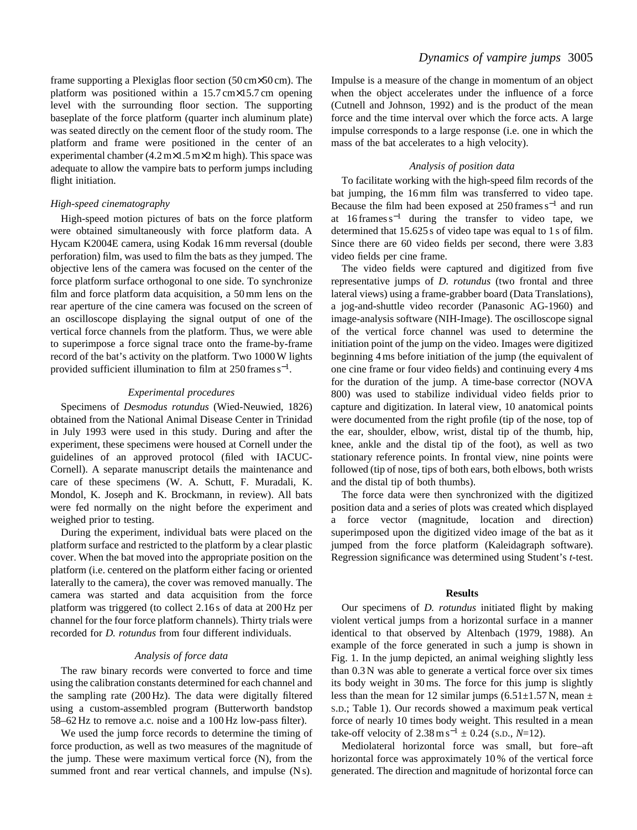frame supporting a Plexiglas floor section (50 cm×50 cm). The platform was positioned within a 15.7 cm×15.7 cm opening level with the surrounding floor section. The supporting baseplate of the force platform (quarter inch aluminum plate) was seated directly on the cement floor of the study room. The platform and frame were positioned in the center of an experimental chamber  $(4.2 \text{ m} \times 1.5 \text{ m} \times 2 \text{ m} \text{ high})$ . This space was adequate to allow the vampire bats to perform jumps including flight initiation.

### *High-speed cinematography*

High-speed motion pictures of bats on the force platform were obtained simultaneously with force platform data. A Hycam K2004E camera, using Kodak 16 mm reversal (double perforation) film, was used to film the bats as they jumped. The objective lens of the camera was focused on the center of the force platform surface orthogonal to one side. To synchronize film and force platform data acquisition, a 50 mm lens on the rear aperture of the cine camera was focused on the screen of an oscilloscope displaying the signal output of one of the vertical force channels from the platform. Thus, we were able to superimpose a force signal trace onto the frame-by-frame record of the bat's activity on the platform. Two 1000 W lights provided sufficient illumination to film at 250 frames s<sup>−</sup>1.

#### *Experimental procedures*

Specimens of *Desmodus rotundus* (Wied-Neuwied, 1826) obtained from the National Animal Disease Center in Trinidad in July 1993 were used in this study. During and after the experiment, these specimens were housed at Cornell under the guidelines of an approved protocol (filed with IACUC-Cornell). A separate manuscript details the maintenance and care of these specimens (W. A. Schutt, F. Muradali, K. Mondol, K. Joseph and K. Brockmann, in review). All bats were fed normally on the night before the experiment and weighed prior to testing.

During the experiment, individual bats were placed on the platform surface and restricted to the platform by a clear plastic cover. When the bat moved into the appropriate position on the platform (i.e. centered on the platform either facing or oriented laterally to the camera), the cover was removed manually. The camera was started and data acquisition from the force platform was triggered (to collect 2.16 s of data at 200 Hz per channel for the four force platform channels). Thirty trials were recorded for *D. rotundus* from four different individuals.

#### *Analysis of force data*

The raw binary records were converted to force and time using the calibration constants determined for each channel and the sampling rate (200 Hz). The data were digitally filtered using a custom-assembled program (Butterworth bandstop 58–62 Hz to remove a.c. noise and a 100 Hz low-pass filter).

We used the jump force records to determine the timing of force production, as well as two measures of the magnitude of the jump. These were maximum vertical force (N), from the summed front and rear vertical channels, and impulse (N s).

Impulse is a measure of the change in momentum of an object when the object accelerates under the influence of a force (Cutnell and Johnson, 1992) and is the product of the mean force and the time interval over which the force acts. A large impulse corresponds to a large response (i.e. one in which the mass of the bat accelerates to a high velocity).

#### *Analysis of position data*

To facilitate working with the high-speed film records of the bat jumping, the 16 mm film was transferred to video tape. Because the film had been exposed at 250 frames s−<sup>1</sup> and run at  $16$  frames s<sup>-1</sup> during the transfer to video tape, we determined that 15.625 s of video tape was equal to 1 s of film. Since there are 60 video fields per second, there were 3.83 video fields per cine frame.

The video fields were captured and digitized from five representative jumps of *D. rotundus* (two frontal and three lateral views) using a frame-grabber board (Data Translations), a jog-and-shuttle video recorder (Panasonic AG-1960) and image-analysis software (NIH-Image). The oscilloscope signal of the vertical force channel was used to determine the initiation point of the jump on the video. Images were digitized beginning 4 ms before initiation of the jump (the equivalent of one cine frame or four video fields) and continuing every 4 ms for the duration of the jump. A time-base corrector (NOVA 800) was used to stabilize individual video fields prior to capture and digitization. In lateral view, 10 anatomical points were documented from the right profile (tip of the nose, top of the ear, shoulder, elbow, wrist, distal tip of the thumb, hip, knee, ankle and the distal tip of the foot), as well as two stationary reference points. In frontal view, nine points were followed (tip of nose, tips of both ears, both elbows, both wrists and the distal tip of both thumbs).

The force data were then synchronized with the digitized position data and a series of plots was created which displayed force vector (magnitude, location and direction) superimposed upon the digitized video image of the bat as it jumped from the force platform (Kaleidagraph software). Regression significance was determined using Student's *t*-test.

### **Results**

Our specimens of *D. rotundus* initiated flight by making violent vertical jumps from a horizontal surface in a manner identical to that observed by Altenbach (1979, 1988). An example of the force generated in such a jump is shown in Fig. 1. In the jump depicted, an animal weighing slightly less than 0.3 N was able to generate a vertical force over six times its body weight in 30 ms. The force for this jump is slightly less than the mean for 12 similar jumps  $(6.51 \pm 1.57 \text{ N}$ , mean  $\pm$ S.D.; Table 1). Our records showed a maximum peak vertical force of nearly 10 times body weight. This resulted in a mean take-off velocity of  $2.38 \text{ m s}^{-1} \pm 0.24$  (s.p.,  $N=12$ ).

Mediolateral horizontal force was small, but fore–aft horizontal force was approximately 10 % of the vertical force generated. The direction and magnitude of horizontal force can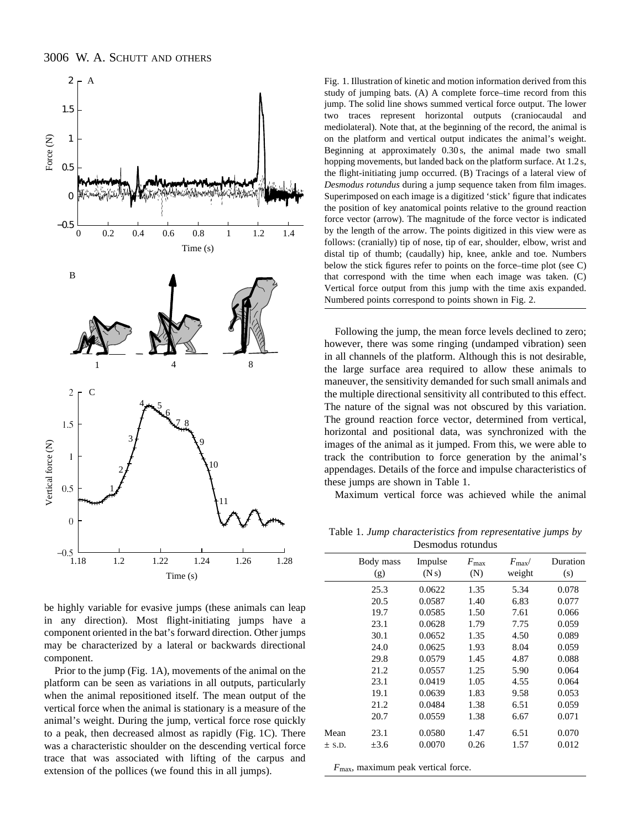

be highly variable for evasive jumps (these animals can leap in any direction). Most flight-initiating jumps have a component oriented in the bat's forward direction. Other jumps may be characterized by a lateral or backwards directional component.

Prior to the jump (Fig. 1A), movements of the animal on the platform can be seen as variations in all outputs, particularly when the animal repositioned itself. The mean output of the vertical force when the animal is stationary is a measure of the animal's weight. During the jump, vertical force rose quickly to a peak, then decreased almost as rapidly (Fig. 1C). There was a characteristic shoulder on the descending vertical force trace that was associated with lifting of the carpus and extension of the pollices (we found this in all jumps).

Fig. 1. Illustration of kinetic and motion information derived from this study of jumping bats. (A) A complete force–time record from this jump. The solid line shows summed vertical force output. The lower two traces represent horizontal outputs (craniocaudal and mediolateral). Note that, at the beginning of the record, the animal is on the platform and vertical output indicates the animal's weight. Beginning at approximately 0.30 s, the animal made two small hopping movements, but landed back on the platform surface. At 1.2 s, the flight-initiating jump occurred. (B) Tracings of a lateral view of *Desmodus rotundus* during a jump sequence taken from film images. Superimposed on each image is a digitized 'stick' figure that indicates the position of key anatomical points relative to the ground reaction force vector (arrow). The magnitude of the force vector is indicated by the length of the arrow. The points digitized in this view were as follows: (cranially) tip of nose, tip of ear, shoulder, elbow, wrist and distal tip of thumb; (caudally) hip, knee, ankle and toe. Numbers below the stick figures refer to points on the force–time plot (see C) that correspond with the time when each image was taken. (C) Vertical force output from this jump with the time axis expanded. Numbered points correspond to points shown in Fig. 2.

Following the jump, the mean force levels declined to zero; however, there was some ringing (undamped vibration) seen in all channels of the platform. Although this is not desirable, the large surface area required to allow these animals to maneuver, the sensitivity demanded for such small animals and the multiple directional sensitivity all contributed to this effect. The nature of the signal was not obscured by this variation. The ground reaction force vector, determined from vertical, horizontal and positional data, was synchronized with the images of the animal as it jumped. From this, we were able to track the contribution to force generation by the animal's appendages. Details of the force and impulse characteristics of these jumps are shown in Table 1.

Maximum vertical force was achieved while the animal

Table 1. *Jump characteristics from representative jumps by* Desmodus rotundus

|            | Body mass | Impulse | $F_{\rm max}$ | $F_{\rm max}/$ | Duration |
|------------|-----------|---------|---------------|----------------|----------|
|            | (g)       | (Ns)    | (N)           | weight         | (s)      |
|            | 25.3      | 0.0622  | 1.35          | 5.34           | 0.078    |
|            | 20.5      | 0.0587  | 1.40          | 6.83           | 0.077    |
|            | 19.7      | 0.0585  | 1.50          | 7.61           | 0.066    |
|            | 23.1      | 0.0628  | 1.79          | 7.75           | 0.059    |
|            | 30.1      | 0.0652  | 1.35          | 4.50           | 0.089    |
|            | 24.0      | 0.0625  | 1.93          | 8.04           | 0.059    |
|            | 29.8      | 0.0579  | 1.45          | 4.87           | 0.088    |
|            | 21.2      | 0.0557  | 1.25          | 5.90           | 0.064    |
|            | 23.1      | 0.0419  | 1.05          | 4.55           | 0.064    |
|            | 19.1      | 0.0639  | 1.83          | 9.58           | 0.053    |
|            | 21.2      | 0.0484  | 1.38          | 6.51           | 0.059    |
|            | 20.7      | 0.0559  | 1.38          | 6.67           | 0.071    |
| Mean       | 23.1      | 0.0580  | 1.47          | 6.51           | 0.070    |
| $\pm$ S.D. | $\pm 3.6$ | 0.0070  | 0.26          | 1.57           | 0.012    |
|            |           |         |               |                |          |

*F*max, maximum peak vertical force.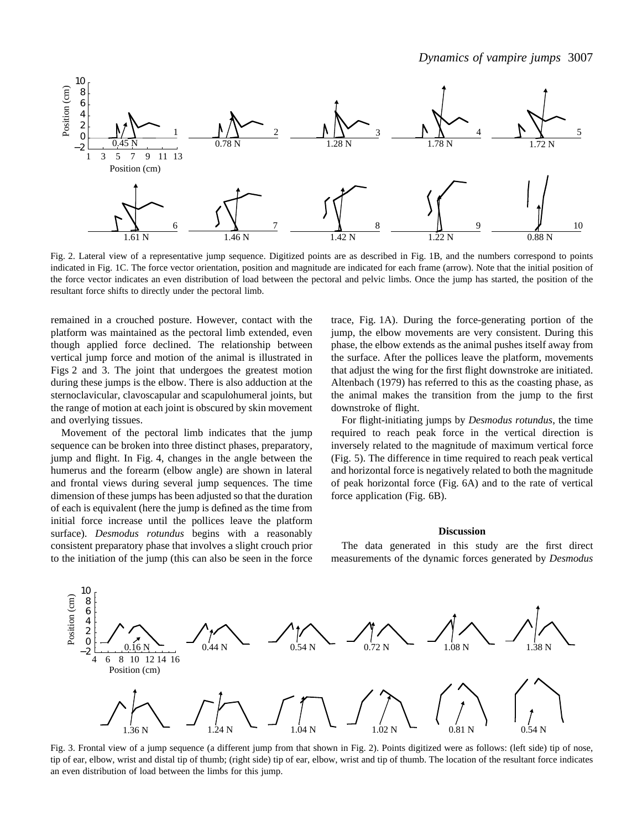

Fig. 2. Lateral view of a representative jump sequence. Digitized points are as described in Fig. 1B, and the numbers correspond to points indicated in Fig. 1C. The force vector orientation, position and magnitude are indicated for each frame (arrow). Note that the initial position of the force vector indicates an even distribution of load between the pectoral and pelvic limbs. Once the jump has started, the position of the resultant force shifts to directly under the pectoral limb.

remained in a crouched posture. However, contact with the platform was maintained as the pectoral limb extended, even though applied force declined. The relationship between vertical jump force and motion of the animal is illustrated in Figs 2 and 3. The joint that undergoes the greatest motion during these jumps is the elbow. There is also adduction at the sternoclavicular, clavoscapular and scapulohumeral joints, but the range of motion at each joint is obscured by skin movement and overlying tissues.

Movement of the pectoral limb indicates that the jump sequence can be broken into three distinct phases, preparatory, jump and flight. In Fig. 4, changes in the angle between the humerus and the forearm (elbow angle) are shown in lateral and frontal views during several jump sequences. The time dimension of these jumps has been adjusted so that the duration of each is equivalent (here the jump is defined as the time from initial force increase until the pollices leave the platform surface). *Desmodus rotundus* begins with a reasonably consistent preparatory phase that involves a slight crouch prior to the initiation of the jump (this can also be seen in the force

trace, Fig. 1A). During the force-generating portion of the jump, the elbow movements are very consistent. During this phase, the elbow extends as the animal pushes itself away from the surface. After the pollices leave the platform, movements that adjust the wing for the first flight downstroke are initiated. Altenbach (1979) has referred to this as the coasting phase, as the animal makes the transition from the jump to the first downstroke of flight.

For flight-initiating jumps by *Desmodus rotundus*, the time required to reach peak force in the vertical direction is inversely related to the magnitude of maximum vertical force (Fig. 5). The difference in time required to reach peak vertical and horizontal force is negatively related to both the magnitude of peak horizontal force (Fig. 6A) and to the rate of vertical force application (Fig. 6B).

#### **Discussion**

The data generated in this study are the first direct measurements of the dynamic forces generated by *Desmodus*



Fig. 3. Frontal view of a jump sequence (a different jump from that shown in Fig. 2). Points digitized were as follows: (left side) tip of nose, tip of ear, elbow, wrist and distal tip of thumb; (right side) tip of ear, elbow, wrist and tip of thumb. The location of the resultant force indicates an even distribution of load between the limbs for this jump.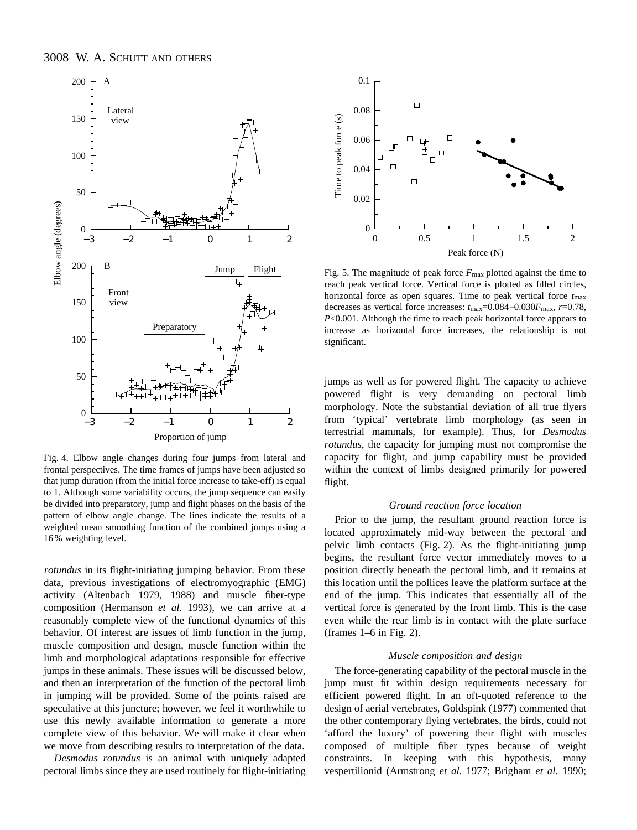

Fig. 4. Elbow angle changes during four jumps from lateral and frontal perspectives. The time frames of jumps have been adjusted so that jump duration (from the initial force increase to take-off) is equal to 1. Although some variability occurs, the jump sequence can easily be divided into preparatory, jump and flight phases on the basis of the pattern of elbow angle change. The lines indicate the results of a weighted mean smoothing function of the combined jumps using a 16 % weighting level.

*rotundus* in its flight-initiating jumping behavior. From these data, previous investigations of electromyographic (EMG) activity (Altenbach 1979, 1988) and muscle fiber-type composition (Hermanson *et al.* 1993), we can arrive at a reasonably complete view of the functional dynamics of this behavior. Of interest are issues of limb function in the jump, muscle composition and design, muscle function within the limb and morphological adaptations responsible for effective jumps in these animals. These issues will be discussed below, and then an interpretation of the function of the pectoral limb in jumping will be provided. Some of the points raised are speculative at this juncture; however, we feel it worthwhile to use this newly available information to generate a more complete view of this behavior. We will make it clear when we move from describing results to interpretation of the data.

*Desmodus rotundus* is an animal with uniquely adapted pectoral limbs since they are used routinely for flight-initiating



Fig. 5. The magnitude of peak force  $F_{\text{max}}$  plotted against the time to reach peak vertical force. Vertical force is plotted as filled circles, horizontal force as open squares. Time to peak vertical force  $t_{\text{max}}$ decreases as vertical force increases: *t*max=0.084−0.030*F*max, *r*=0.78, *P*<0.001. Although the time to reach peak horizontal force appears to increase as horizontal force increases, the relationship is not significant.

jumps as well as for powered flight. The capacity to achieve powered flight is very demanding on pectoral limb morphology. Note the substantial deviation of all true flyers from 'typical' vertebrate limb morphology (as seen in terrestrial mammals, for example). Thus, for *Desmodus rotundus*, the capacity for jumping must not compromise the capacity for flight, and jump capability must be provided within the context of limbs designed primarily for powered flight.

#### *Ground reaction force location*

Prior to the jump, the resultant ground reaction force is located approximately mid-way between the pectoral and pelvic limb contacts (Fig. 2). As the flight-initiating jump begins, the resultant force vector immediately moves to a position directly beneath the pectoral limb, and it remains at this location until the pollices leave the platform surface at the end of the jump. This indicates that essentially all of the vertical force is generated by the front limb. This is the case even while the rear limb is in contact with the plate surface (frames 1–6 in Fig. 2).

### *Muscle composition and design*

The force-generating capability of the pectoral muscle in the jump must fit within design requirements necessary for efficient powered flight. In an oft-quoted reference to the design of aerial vertebrates, Goldspink (1977) commented that the other contemporary flying vertebrates, the birds, could not 'afford the luxury' of powering their flight with muscles composed of multiple fiber types because of weight constraints. In keeping with this hypothesis, many vespertilionid (Armstrong *et al.* 1977; Brigham *et al.* 1990;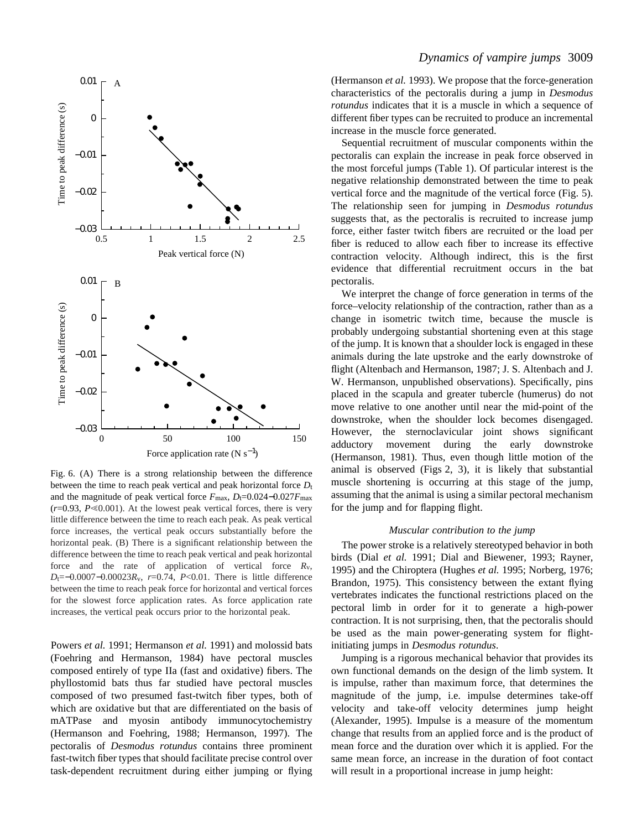

Fig. 6. (A) There is a strong relationship between the difference between the time to reach peak vertical and peak horizontal force  $D<sub>t</sub>$ and the magnitude of peak vertical force  $F_{\text{max}}$ ,  $D_t=0.024-0.027F_{\text{max}}$  $(r=0.93, P \le 0.001)$ . At the lowest peak vertical forces, there is very little difference between the time to reach each peak. As peak vertical force increases, the vertical peak occurs substantially before the horizontal peak. (B) There is a significant relationship between the difference between the time to reach peak vertical and peak horizontal force and the rate of application of vertical force *R*v, *D*t=−0.0007−0.00023*R*<sub>v</sub>, *r*=0.74, *P*<0.01. There is little difference between the time to reach peak force for horizontal and vertical forces for the slowest force application rates. As force application rate increases, the vertical peak occurs prior to the horizontal peak.

Powers *et al.* 1991; Hermanson *et al.* 1991) and molossid bats (Foehring and Hermanson, 1984) have pectoral muscles composed entirely of type IIa (fast and oxidative) fibers. The phyllostomid bats thus far studied have pectoral muscles composed of two presumed fast-twitch fiber types, both of which are oxidative but that are differentiated on the basis of mATPase and myosin antibody immunocytochemistry (Hermanson and Foehring, 1988; Hermanson, 1997). The pectoralis of *Desmodus rotundus* contains three prominent fast-twitch fiber types that should facilitate precise control over task-dependent recruitment during either jumping or flying

# *Dynamics of vampire jumps* 3009

(Hermanson *et al.* 1993). We propose that the force-generation characteristics of the pectoralis during a jump in *Desmodus rotundus* indicates that it is a muscle in which a sequence of different fiber types can be recruited to produce an incremental increase in the muscle force generated.

Sequential recruitment of muscular components within the pectoralis can explain the increase in peak force observed in the most forceful jumps (Table 1). Of particular interest is the negative relationship demonstrated between the time to peak vertical force and the magnitude of the vertical force (Fig. 5). The relationship seen for jumping in *Desmodus rotundus* suggests that, as the pectoralis is recruited to increase jump force, either faster twitch fibers are recruited or the load per fiber is reduced to allow each fiber to increase its effective contraction velocity. Although indirect, this is the first evidence that differential recruitment occurs in the bat pectoralis.

We interpret the change of force generation in terms of the force–velocity relationship of the contraction, rather than as a change in isometric twitch time, because the muscle is probably undergoing substantial shortening even at this stage of the jump. It is known that a shoulder lock is engaged in these animals during the late upstroke and the early downstroke of flight (Altenbach and Hermanson, 1987; J. S. Altenbach and J. W. Hermanson, unpublished observations). Specifically, pins placed in the scapula and greater tubercle (humerus) do not move relative to one another until near the mid-point of the downstroke, when the shoulder lock becomes disengaged. However, the sternoclavicular joint shows significant adductory movement during the early downstroke (Hermanson, 1981). Thus, even though little motion of the animal is observed (Figs 2, 3), it is likely that substantial muscle shortening is occurring at this stage of the jump, assuming that the animal is using a similar pectoral mechanism for the jump and for flapping flight.

### *Muscular contribution to the jump*

The power stroke is a relatively stereotyped behavior in both birds (Dial *et al.* 1991; Dial and Biewener, 1993; Rayner, 1995) and the Chiroptera (Hughes *et al.* 1995; Norberg, 1976; Brandon, 1975). This consistency between the extant flying vertebrates indicates the functional restrictions placed on the pectoral limb in order for it to generate a high-power contraction. It is not surprising, then, that the pectoralis should be used as the main power-generating system for flightinitiating jumps in *Desmodus rotundus*.

Jumping is a rigorous mechanical behavior that provides its own functional demands on the design of the limb system. It is impulse, rather than maximum force, that determines the magnitude of the jump, i.e. impulse determines take-off velocity and take-off velocity determines jump height (Alexander, 1995). Impulse is a measure of the momentum change that results from an applied force and is the product of mean force and the duration over which it is applied. For the same mean force, an increase in the duration of foot contact will result in a proportional increase in jump height: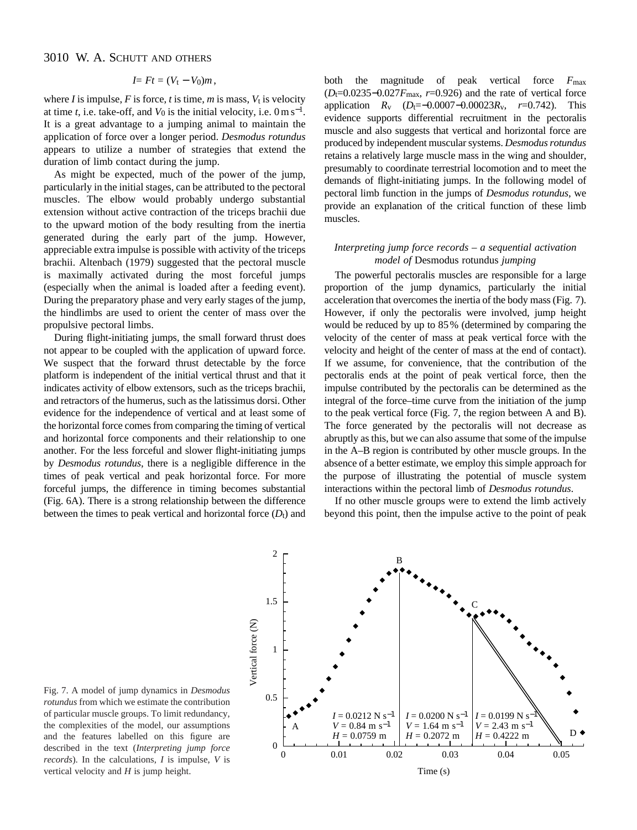# 3010 W. A. SCHUTT AND OTHERS

$$
I=Ft=(V_{t}-V_{0})m,
$$

where *I* is impulse, *F* is force, *t* is time, *m* is mass,  $V_t$  is velocity at time *t*, i.e. take-off, and  $V_0$  is the initial velocity, i.e.  $0 \text{ m s}^{-1}$ . It is a great advantage to a jumping animal to maintain the application of force over a longer period. *Desmodus rotundus* appears to utilize a number of strategies that extend the duration of limb contact during the jump.

As might be expected, much of the power of the jump, particularly in the initial stages, can be attributed to the pectoral muscles. The elbow would probably undergo substantial extension without active contraction of the triceps brachii due to the upward motion of the body resulting from the inertia generated during the early part of the jump. However, appreciable extra impulse is possible with activity of the triceps brachii. Altenbach (1979) suggested that the pectoral muscle is maximally activated during the most forceful jumps (especially when the animal is loaded after a feeding event). During the preparatory phase and very early stages of the jump, the hindlimbs are used to orient the center of mass over the propulsive pectoral limbs.

During flight-initiating jumps, the small forward thrust does not appear to be coupled with the application of upward force. We suspect that the forward thrust detectable by the force platform is independent of the initial vertical thrust and that it indicates activity of elbow extensors, such as the triceps brachii, and retractors of the humerus, such as the latissimus dorsi. Other evidence for the independence of vertical and at least some of the horizontal force comes from comparing the timing of vertical and horizontal force components and their relationship to one another. For the less forceful and slower flight-initiating jumps by *Desmodus rotundus*, there is a negligible difference in the times of peak vertical and peak horizontal force. For more forceful jumps, the difference in timing becomes substantial (Fig. 6A). There is a strong relationship between the difference between the times to peak vertical and horizontal force  $(D<sub>t</sub>)$  and

both the magnitude of peak vertical force *F*max (*D*t=0.0235−0.027*F*max, *r*=0.926) and the rate of vertical force application *R*v (*D*t=−0.0007−0.00023*R*v, *r*=0.742). This evidence supports differential recruitment in the pectoralis muscle and also suggests that vertical and horizontal force are produced by independent muscular systems. *Desmodus rotundus* retains a relatively large muscle mass in the wing and shoulder, presumably to coordinate terrestrial locomotion and to meet the demands of flight-initiating jumps. In the following model of pectoral limb function in the jumps of *Desmodus rotundus*, we provide an explanation of the critical function of these limb muscles.

## *Interpreting jump force records – a sequential activation model of* Desmodus rotundus *jumping*

The powerful pectoralis muscles are responsible for a large proportion of the jump dynamics, particularly the initial acceleration that overcomes the inertia of the body mass (Fig. 7). However, if only the pectoralis were involved, jump height would be reduced by up to 85 % (determined by comparing the velocity of the center of mass at peak vertical force with the velocity and height of the center of mass at the end of contact). If we assume, for convenience, that the contribution of the pectoralis ends at the point of peak vertical force, then the impulse contributed by the pectoralis can be determined as the integral of the force–time curve from the initiation of the jump to the peak vertical force (Fig. 7, the region between A and B). The force generated by the pectoralis will not decrease as abruptly as this, but we can also assume that some of the impulse in the A–B region is contributed by other muscle groups. In the absence of a better estimate, we employ this simple approach for the purpose of illustrating the potential of muscle system interactions within the pectoral limb of *Desmodus rotundus*.

If no other muscle groups were to extend the limb actively beyond this point, then the impulse active to the point of peak



Fig. 7. A model of jump dynamics in *Desmodus rotundus* from which we estimate the contribution of particular muscle groups. To limit redundancy, the complexities of the model, our assumptions and the features labelled on this figure are described in the text (*Interpreting jump force records*). In the calculations, *I* is impulse, *V* is vertical velocity and *H* is jump height.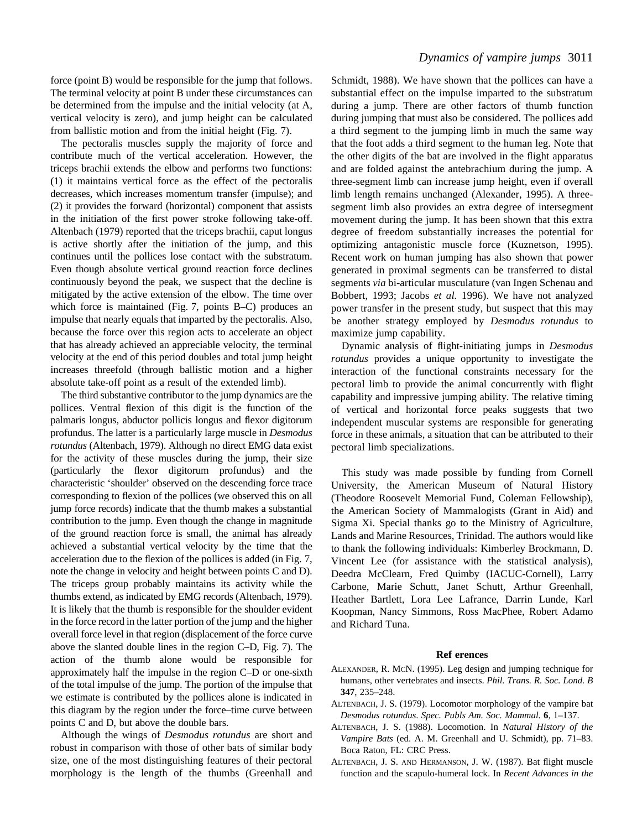force (point B) would be responsible for the jump that follows. The terminal velocity at point B under these circumstances can be determined from the impulse and the initial velocity (at A, vertical velocity is zero), and jump height can be calculated from ballistic motion and from the initial height (Fig. 7).

The pectoralis muscles supply the majority of force and contribute much of the vertical acceleration. However, the triceps brachii extends the elbow and performs two functions: (1) it maintains vertical force as the effect of the pectoralis decreases, which increases momentum transfer (impulse); and (2) it provides the forward (horizontal) component that assists in the initiation of the first power stroke following take-off. Altenbach (1979) reported that the triceps brachii, caput longus is active shortly after the initiation of the jump, and this continues until the pollices lose contact with the substratum. Even though absolute vertical ground reaction force declines continuously beyond the peak, we suspect that the decline is mitigated by the active extension of the elbow. The time over which force is maintained (Fig. 7, points B–C) produces an impulse that nearly equals that imparted by the pectoralis. Also, because the force over this region acts to accelerate an object that has already achieved an appreciable velocity, the terminal velocity at the end of this period doubles and total jump height increases threefold (through ballistic motion and a higher absolute take-off point as a result of the extended limb).

The third substantive contributor to the jump dynamics are the pollices. Ventral flexion of this digit is the function of the palmaris longus, abductor pollicis longus and flexor digitorum profundus. The latter is a particularly large muscle in *Desmodus rotundus* (Altenbach, 1979). Although no direct EMG data exist for the activity of these muscles during the jump, their size (particularly the flexor digitorum profundus) and the characteristic 'shoulder' observed on the descending force trace corresponding to flexion of the pollices (we observed this on all jump force records) indicate that the thumb makes a substantial contribution to the jump. Even though the change in magnitude of the ground reaction force is small, the animal has already achieved a substantial vertical velocity by the time that the acceleration due to the flexion of the pollices is added (in Fig. 7, note the change in velocity and height between points C and D). The triceps group probably maintains its activity while the thumbs extend, as indicated by EMG records (Altenbach, 1979). It is likely that the thumb is responsible for the shoulder evident in the force record in the latter portion of the jump and the higher overall force level in that region (displacement of the force curve above the slanted double lines in the region C–D, Fig. 7). The action of the thumb alone would be responsible for approximately half the impulse in the region C–D or one-sixth of the total impulse of the jump. The portion of the impulse that we estimate is contributed by the pollices alone is indicated in this diagram by the region under the force–time curve between points C and D, but above the double bars.

Although the wings of *Desmodus rotundus* are short and robust in comparison with those of other bats of similar body size, one of the most distinguishing features of their pectoral morphology is the length of the thumbs (Greenhall and Schmidt, 1988). We have shown that the pollices can have a substantial effect on the impulse imparted to the substratum during a jump. There are other factors of thumb function during jumping that must also be considered. The pollices add a third segment to the jumping limb in much the same way that the foot adds a third segment to the human leg. Note that the other digits of the bat are involved in the flight apparatus and are folded against the antebrachium during the jump. A three-segment limb can increase jump height, even if overall limb length remains unchanged (Alexander, 1995). A threesegment limb also provides an extra degree of intersegment movement during the jump. It has been shown that this extra degree of freedom substantially increases the potential for optimizing antagonistic muscle force (Kuznetson, 1995). Recent work on human jumping has also shown that power generated in proximal segments can be transferred to distal segments *via* bi-articular musculature (van Ingen Schenau and Bobbert, 1993; Jacobs *et al.* 1996). We have not analyzed power transfer in the present study, but suspect that this may be another strategy employed by *Desmodus rotundus* to maximize jump capability.

Dynamic analysis of flight-initiating jumps in *Desmodus rotundus* provides a unique opportunity to investigate the interaction of the functional constraints necessary for the pectoral limb to provide the animal concurrently with flight capability and impressive jumping ability. The relative timing of vertical and horizontal force peaks suggests that two independent muscular systems are responsible for generating force in these animals, a situation that can be attributed to their pectoral limb specializations.

This study was made possible by funding from Cornell University, the American Museum of Natural History (Theodore Roosevelt Memorial Fund, Coleman Fellowship), the American Society of Mammalogists (Grant in Aid) and Sigma Xi. Special thanks go to the Ministry of Agriculture, Lands and Marine Resources, Trinidad. The authors would like to thank the following individuals: Kimberley Brockmann, D. Vincent Lee (for assistance with the statistical analysis), Deedra McClearn, Fred Quimby (IACUC-Cornell), Larry Carbone, Marie Schutt, Janet Schutt, Arthur Greenhall, Heather Bartlett, Lora Lee Lafrance, Darrin Lunde, Karl Koopman, Nancy Simmons, Ross MacPhee, Robert Adamo and Richard Tuna.

#### **Ref erences**

- ALEXANDER, R. MCN. (1995). Leg design and jumping technique for humans, other vertebrates and insects. *Phil. Trans. R. Soc. Lond. B* **347**, 235–248.
- ALTENBACH, J. S. (1979). Locomotor morphology of the vampire bat *Desmodus rotundus*. *Spec. Publs Am. Soc. Mammal.* **6**, 1–137.
- ALTENBACH, J. S. (1988). Locomotion. In *Natural History of the Vampire Bats* (ed. A. M. Greenhall and U. Schmidt), pp. 71–83. Boca Raton, FL: CRC Press.
- ALTENBACH, J. S. AND HERMANSON, J. W. (1987). Bat flight muscle function and the scapulo-humeral lock. In *Recent Advances in the*